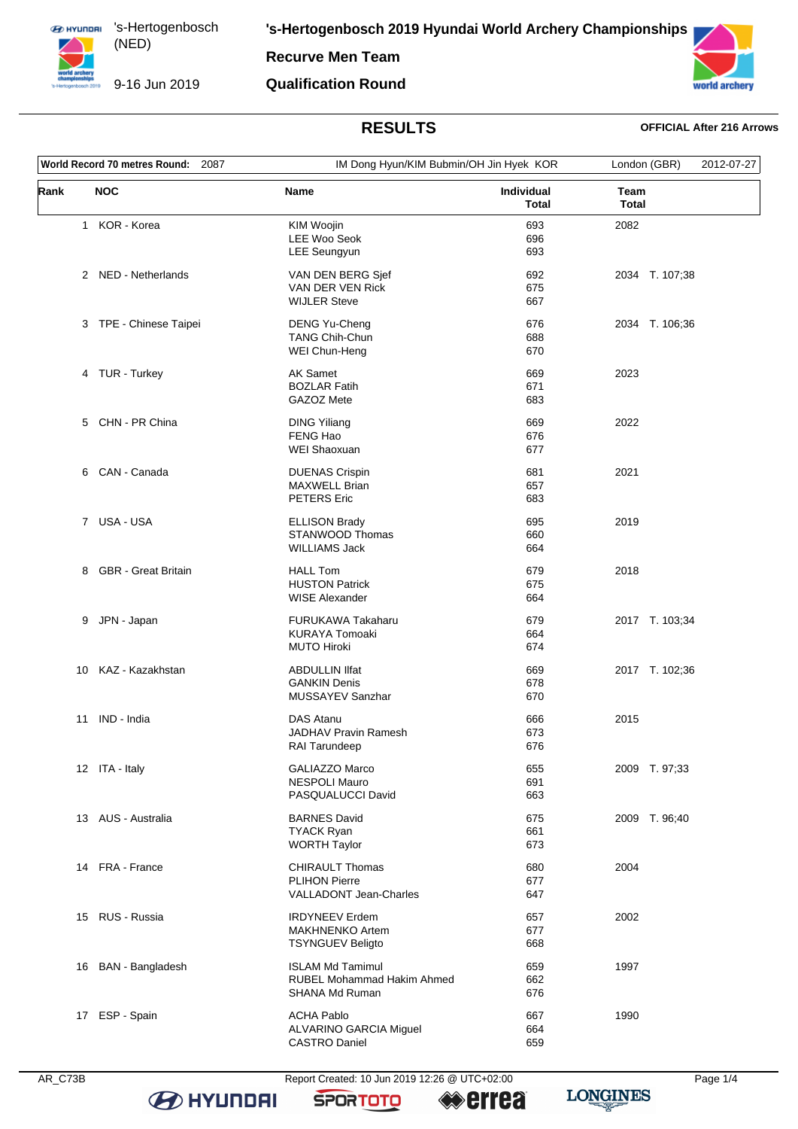9-16 Jun 2019

**Recurve Men Team**

## **Qualification Round**



# **RESULTS OFFICIAL After 216 Arrows**

| World Record 70 metres Round: 2087 |  |                                                                            | IM Dong Hyun/KIM Bubmin/OH Jin Hyek KOR |                      | 2012-07-27 |
|------------------------------------|--|----------------------------------------------------------------------------|-----------------------------------------|----------------------|------------|
| <b>NOC</b><br>Rank                 |  | Name                                                                       | Individual<br><b>Total</b>              | Team<br><b>Total</b> |            |
| 1 KOR - Korea                      |  | KIM Woojin<br><b>LEE Woo Seok</b><br><b>LEE Seungyun</b>                   | 693<br>696<br>693                       | 2082                 |            |
| 2 NED - Netherlands                |  | VAN DEN BERG Sjef<br>VAN DER VEN Rick<br><b>WIJLER Steve</b>               | 692<br>675<br>667                       | 2034 T. 107;38       |            |
| 3 TPE - Chinese Taipei             |  | <b>DENG Yu-Cheng</b><br><b>TANG Chih-Chun</b><br>WEI Chun-Heng             | 676<br>688<br>670                       | 2034 T. 106;36       |            |
| 4 TUR - Turkey                     |  | <b>AK Samet</b><br><b>BOZLAR Fatih</b><br>GAZOZ Mete                       | 669<br>671<br>683                       | 2023                 |            |
| 5 CHN - PR China                   |  | <b>DING Yiliang</b><br>FENG Hao<br>WEI Shaoxuan                            | 669<br>676<br>677                       | 2022                 |            |
| 6 CAN - Canada                     |  | <b>DUENAS Crispin</b><br><b>MAXWELL Brian</b><br><b>PETERS</b> Eric        | 681<br>657<br>683                       | 2021                 |            |
| 7 USA-USA                          |  | <b>ELLISON Brady</b><br>STANWOOD Thomas<br><b>WILLIAMS Jack</b>            | 695<br>660<br>664                       | 2019                 |            |
| <b>GBR</b> - Great Britain<br>8    |  | <b>HALL Tom</b><br><b>HUSTON Patrick</b><br><b>WISE Alexander</b>          | 679<br>675<br>664                       | 2018                 |            |
| JPN - Japan<br>9                   |  | <b>FURUKAWA Takaharu</b><br><b>KURAYA Tomoaki</b><br><b>MUTO Hiroki</b>    | 679<br>664<br>674                       | 2017 T. 103;34       |            |
| KAZ - Kazakhstan<br>10             |  | <b>ABDULLIN IIfat</b><br><b>GANKIN Denis</b><br>MUSSAYEV Sanzhar           | 669<br>678<br>670                       | 2017 T. 102;36       |            |
| IND - India<br>11                  |  | DAS Atanu<br><b>JADHAV Pravin Ramesh</b><br>RAI Tarundeep                  | 666<br>673<br>676                       | 2015                 |            |
| 12 ITA - Italy                     |  | <b>GALIAZZO Marco</b><br><b>NESPOLI Mauro</b><br>PASQUALUCCI David         | 655<br>691<br>663                       | 2009 T. 97;33        |            |
| 13 AUS - Australia                 |  | <b>BARNES David</b><br><b>TYACK Ryan</b><br><b>WORTH Taylor</b>            | 675<br>661<br>673                       | 2009 T. 96;40        |            |
| 14 FRA - France                    |  | <b>CHIRAULT Thomas</b><br><b>PLIHON Pierre</b><br>VALLADONT Jean-Charles   | 680<br>677<br>647                       | 2004                 |            |
| 15 RUS - Russia                    |  | <b>IRDYNEEV</b> Erdem<br><b>MAKHNENKO Artem</b><br><b>TSYNGUEV Beligto</b> | 657<br>677<br>668                       | 2002                 |            |
| 16 BAN - Bangladesh                |  | <b>ISLAM Md Tamimul</b><br>RUBEL Mohammad Hakim Ahmed<br>SHANA Md Ruman    | 659<br>662<br>676                       | 1997                 |            |
| 17 ESP - Spain                     |  | <b>ACHA Pablo</b><br>ALVARINO GARCIA Miguel<br><b>CASTRO Daniel</b>        | 667<br>664<br>659                       | 1990                 |            |

**B** HYUNDAI

AR\_C73B Report Created: 10 Jun 2019 12:26 @ UTC+02:00 Page 1/4

**SPORTOTO** 

**errea** 

**LONGINES**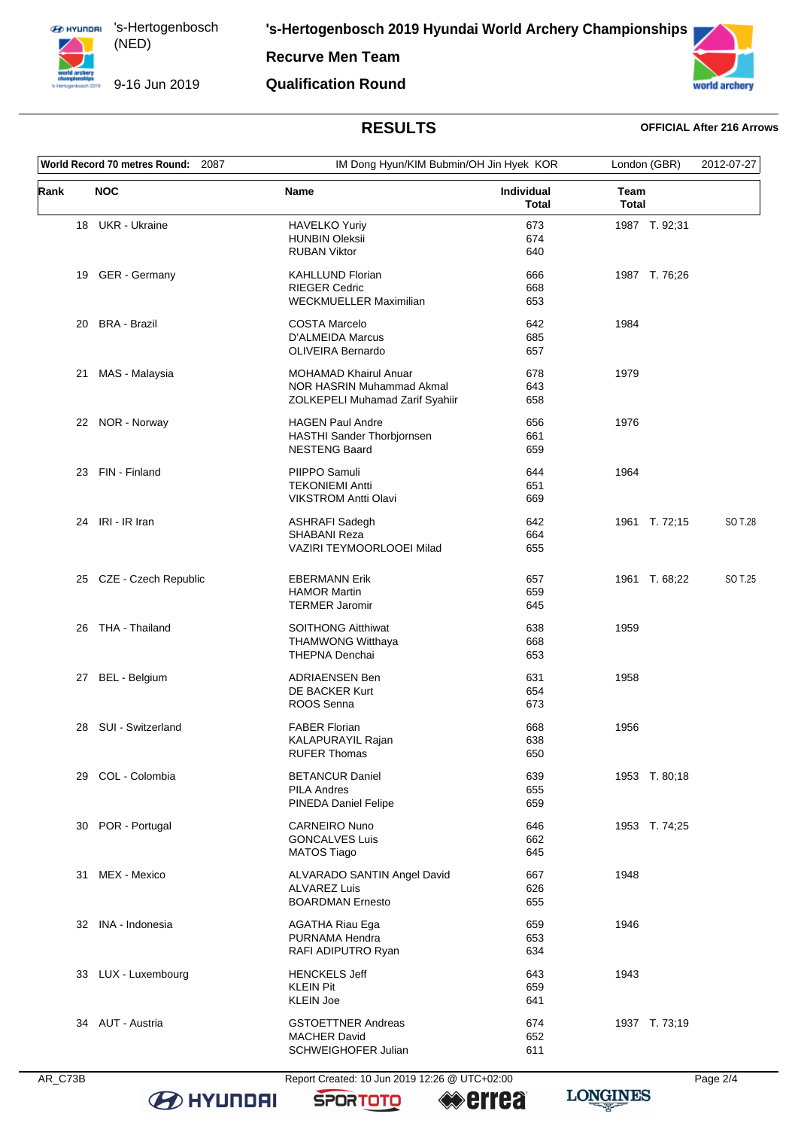9-16 Jun 2019

**'s-Hertogenbosch 2019 Hyundai World Archery Championships**

**Recurve Men Team**

## **Qualification Round**



# **RESULTS OFFICIAL After 216 Arrows**

| World Record 70 metres Round:<br>2087 |                         |                                                       | IM Dong Hyun/KIM Bubmin/OH Jin Hyek KOR |                      | London (GBR)  |         |
|---------------------------------------|-------------------------|-------------------------------------------------------|-----------------------------------------|----------------------|---------------|---------|
| Rank                                  | <b>NOC</b>              | Name                                                  | <b>Individual</b><br><b>Total</b>       | Team<br><b>Total</b> |               |         |
|                                       | 18 UKR - Ukraine        | <b>HAVELKO Yuriy</b>                                  | 673                                     |                      | 1987 T. 92;31 |         |
|                                       |                         | <b>HUNBIN Oleksii</b>                                 | 674                                     |                      |               |         |
|                                       |                         | <b>RUBAN Viktor</b>                                   | 640                                     |                      |               |         |
| 19                                    | GER - Germany           | <b>KAHLLUND Florian</b>                               | 666                                     |                      | 1987 T. 76;26 |         |
|                                       |                         | <b>RIEGER Cedric</b>                                  | 668                                     |                      |               |         |
|                                       |                         | WECKMUELLER Maximilian                                | 653                                     |                      |               |         |
| 20                                    | BRA - Brazil            | <b>COSTA Marcelo</b>                                  | 642                                     | 1984                 |               |         |
|                                       |                         | D'ALMEIDA Marcus                                      | 685                                     |                      |               |         |
|                                       |                         | <b>OLIVEIRA Bernardo</b>                              | 657                                     |                      |               |         |
|                                       |                         |                                                       |                                         |                      |               |         |
| 21                                    | MAS - Malaysia          | <b>MOHAMAD Khairul Anuar</b>                          | 678                                     | 1979                 |               |         |
|                                       |                         | NOR HASRIN Muhammad Akmal                             | 643                                     |                      |               |         |
|                                       |                         | ZOLKEPELI Muhamad Zarif Syahiir                       | 658                                     |                      |               |         |
|                                       | 22 NOR - Norway         | <b>HAGEN Paul Andre</b>                               | 656                                     | 1976                 |               |         |
|                                       |                         | HASTHI Sander Thorbjornsen                            | 661                                     |                      |               |         |
|                                       |                         | <b>NESTENG Baard</b>                                  | 659                                     |                      |               |         |
|                                       |                         |                                                       |                                         |                      |               |         |
|                                       | 23 FIN - Finland        | PIIPPO Samuli                                         | 644                                     | 1964                 |               |         |
|                                       |                         | <b>TEKONIEMI Antti</b><br><b>VIKSTROM Antti Olavi</b> | 651<br>669                              |                      |               |         |
|                                       |                         |                                                       |                                         |                      |               |         |
|                                       | 24 IRI - IR Iran        | <b>ASHRAFI Sadegh</b>                                 | 642                                     |                      | 1961 T. 72;15 | SO T.28 |
|                                       |                         | <b>SHABANI Reza</b>                                   | 664                                     |                      |               |         |
|                                       |                         | VAZIRI TEYMOORLOOEI Milad                             | 655                                     |                      |               |         |
|                                       |                         |                                                       |                                         |                      |               |         |
|                                       | 25 CZE - Czech Republic | <b>EBERMANN Erik</b>                                  | 657                                     |                      | 1961 T. 68;22 | SO T.25 |
|                                       |                         | <b>HAMOR Martin</b>                                   | 659                                     |                      |               |         |
|                                       |                         | <b>TERMER Jaromir</b>                                 | 645                                     |                      |               |         |
| 26                                    | THA - Thailand          | <b>SOITHONG Aitthiwat</b>                             | 638                                     | 1959                 |               |         |
|                                       |                         | <b>THAMWONG Witthaya</b>                              | 668                                     |                      |               |         |
|                                       |                         | <b>THEPNA Denchai</b>                                 | 653                                     |                      |               |         |
|                                       |                         | <b>ADRIAENSEN Ben</b>                                 | 631                                     | 1958                 |               |         |
| 27                                    | BEL - Belgium           | DE BACKER Kurt                                        | 654                                     |                      |               |         |
|                                       |                         | ROOS Senna                                            | 673                                     |                      |               |         |
|                                       |                         |                                                       |                                         |                      |               |         |
| 28                                    | SUI - Switzerland       | <b>FABER Florian</b>                                  | 668                                     | 1956                 |               |         |
|                                       |                         | <b>KALAPURAYIL Rajan</b>                              | 638                                     |                      |               |         |
|                                       |                         | <b>RUFER Thomas</b>                                   | 650                                     |                      |               |         |
|                                       | 29 COL - Colombia       | <b>BETANCUR Daniel</b>                                | 639                                     |                      | 1953 T. 80;18 |         |
|                                       |                         | <b>PILA Andres</b>                                    | 655                                     |                      |               |         |
|                                       |                         | PINEDA Daniel Felipe                                  | 659                                     |                      |               |         |
| 30                                    | POR - Portugal          | CARNEIRO Nuno                                         | 646                                     |                      | 1953 T. 74;25 |         |
|                                       |                         | <b>GONCALVES Luis</b>                                 | 662                                     |                      |               |         |
|                                       |                         | <b>MATOS Tiago</b>                                    | 645                                     |                      |               |         |
|                                       |                         |                                                       |                                         |                      |               |         |
| 31                                    | MEX - Mexico            | ALVARADO SANTIN Angel David                           | 667                                     | 1948                 |               |         |
|                                       |                         | <b>ALVAREZ Luis</b>                                   | 626                                     |                      |               |         |
|                                       |                         | <b>BOARDMAN Ernesto</b>                               | 655                                     |                      |               |         |
|                                       | 32 INA - Indonesia      | <b>AGATHA Riau Ega</b>                                | 659                                     | 1946                 |               |         |
|                                       |                         | PURNAMA Hendra                                        | 653                                     |                      |               |         |
|                                       |                         | RAFI ADIPUTRO Ryan                                    | 634                                     |                      |               |         |
|                                       |                         |                                                       |                                         |                      |               |         |
|                                       | 33 LUX - Luxembourg     | <b>HENCKELS Jeff</b>                                  | 643                                     | 1943                 |               |         |
|                                       |                         | <b>KLEIN Pit</b><br><b>KLEIN Joe</b>                  | 659<br>641                              |                      |               |         |
|                                       |                         |                                                       |                                         |                      |               |         |
|                                       | 34 AUT - Austria        | <b>GSTOETTNER Andreas</b>                             | 674                                     |                      | 1937 T. 73;19 |         |
|                                       |                         | <b>MACHER David</b>                                   | 652                                     |                      |               |         |
|                                       |                         | SCHWEIGHOFER Julian                                   | 611                                     |                      |               |         |

**B** HYUNDAI

AR\_C73B Report Created: 10 Jun 2019 12:26 @ UTC+02:00

**SPORTOTO** 

**errea** 

**LONGINES**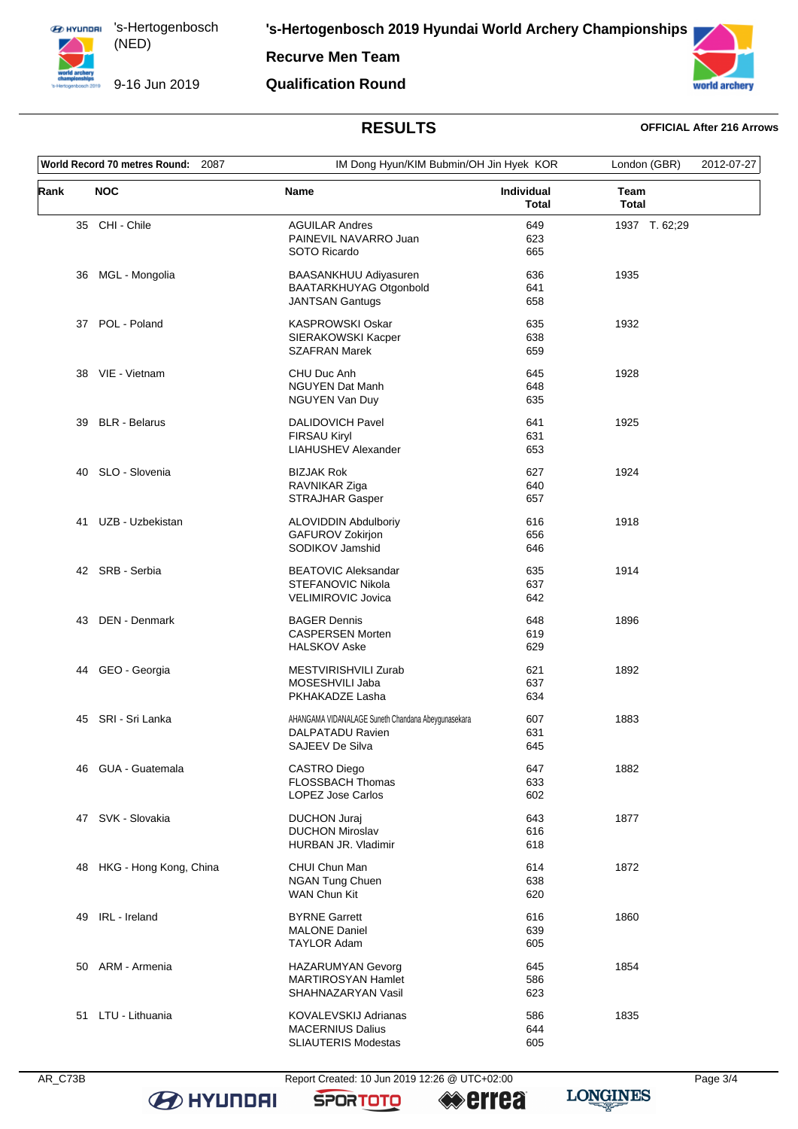**Recurve Men Team**

9-16 Jun 2019

### **Qualification Round**



# **RESULTS OFFICIAL After 216 Arrows**

| World Record 70 metres Round: 2087 |                        |                                                                                           | IM Dong Hyun/KIM Bubmin/OH Jin Hyek KOR |                             | 2012-07-27 |
|------------------------------------|------------------------|-------------------------------------------------------------------------------------------|-----------------------------------------|-----------------------------|------------|
| Rank                               | <b>NOC</b>             | <b>Name</b>                                                                               | <b>Individual</b><br>Total              | <b>Team</b><br><b>Total</b> |            |
|                                    | 35 CHI - Chile         | <b>AGUILAR Andres</b><br>PAINEVIL NAVARRO Juan<br>SOTO Ricardo                            | 649<br>623<br>665                       | 1937 T. 62;29               |            |
| 36                                 | MGL - Mongolia         | BAASANKHUU Adiyasuren<br>BAATARKHUYAG Otgonbold<br><b>JANTSAN Gantugs</b>                 | 636<br>641<br>658                       | 1935                        |            |
| 37                                 | POL - Poland           | <b>KASPROWSKI Oskar</b><br>SIERAKOWSKI Kacper<br><b>SZAFRAN Marek</b>                     | 635<br>638<br>659                       | 1932                        |            |
|                                    | 38 VIE - Vietnam       | CHU Duc Anh<br><b>NGUYEN Dat Manh</b><br>NGUYEN Van Duy                                   | 645<br>648<br>635                       | 1928                        |            |
| 39                                 | <b>BLR - Belarus</b>   | <b>DALIDOVICH Pavel</b><br><b>FIRSAU Kiryl</b><br>LIAHUSHEV Alexander                     | 641<br>631<br>653                       | 1925                        |            |
| 40                                 | SLO - Slovenia         | <b>BIZJAK Rok</b><br>RAVNIKAR Ziga<br><b>STRAJHAR Gasper</b>                              | 627<br>640<br>657                       | 1924                        |            |
| 41                                 | UZB - Uzbekistan       | <b>ALOVIDDIN Abdulboriy</b><br>GAFUROV Zokirjon<br>SODIKOV Jamshid                        | 616<br>656<br>646                       | 1918                        |            |
|                                    | 42 SRB - Serbia        | <b>BEATOVIC Aleksandar</b><br>STEFANOVIC Nikola<br>VELIMIROVIC Jovica                     | 635<br>637<br>642                       | 1914                        |            |
| 43                                 | DEN - Denmark          | <b>BAGER Dennis</b><br><b>CASPERSEN Morten</b><br><b>HALSKOV Aske</b>                     | 648<br>619<br>629                       | 1896                        |            |
| 44                                 | GEO - Georgia          | MESTVIRISHVILI Zurab<br>MOSESHVILI Jaba<br>PKHAKADZE Lasha                                | 621<br>637<br>634                       | 1892                        |            |
| 45                                 | SRI - Sri Lanka        | AHANGAMA VIDANALAGE Suneth Chandana Abeygunasekara<br>DALPATADU Ravien<br>SAJEEV De Silva | 607<br>631<br>645                       | 1883                        |            |
| 46                                 | <b>GUA - Guatemala</b> | <b>CASTRO Diego</b><br>FLOSSBACH Thomas<br>LOPEZ Jose Carlos                              | 647<br>633<br>602                       | 1882                        |            |
|                                    | 47 SVK - Slovakia      | <b>DUCHON Juraj</b><br><b>DUCHON Miroslav</b><br>HURBAN JR. Vladimir                      | 643<br>616<br>618                       | 1877                        |            |
| 48                                 | HKG - Hong Kong, China | CHUI Chun Man<br><b>NGAN Tung Chuen</b><br>WAN Chun Kit                                   | 614<br>638<br>620                       | 1872                        |            |
| 49                                 | IRL - Ireland          | <b>BYRNE Garrett</b><br><b>MALONE Daniel</b><br><b>TAYLOR Adam</b>                        | 616<br>639<br>605                       | 1860                        |            |
|                                    | 50 ARM - Armenia       | HAZARUMYAN Gevorg<br><b>MARTIROSYAN Hamlet</b><br>SHAHNAZARYAN Vasil                      | 645<br>586<br>623                       | 1854                        |            |
|                                    | 51 LTU - Lithuania     | KOVALEVSKIJ Adrianas<br><b>MACERNIUS Dalius</b><br>SLIAUTERIS Modestas                    | 586<br>644<br>605                       | 1835                        |            |



**B** HYUNDAI

AR\_C73B Report Created: 10 Jun 2019 12:26 @ UTC+02:00

**SPORTOTO** 

**errea**